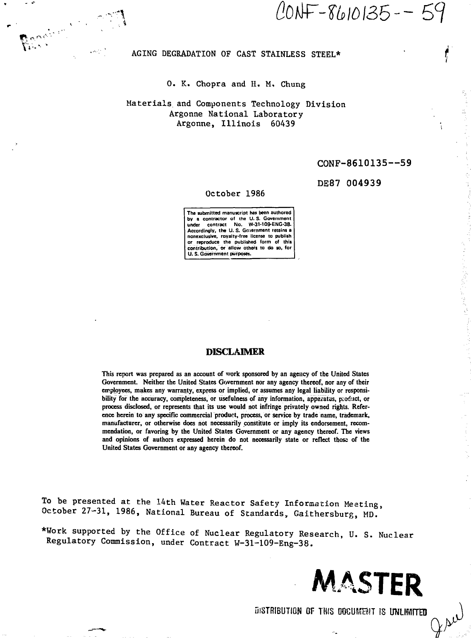Reneira Ca *. i*

CONF-8610135--59

### AGING DEGRADATION OF CAST STAINLESS STEEL\*

### 0. K. Chopra and H. M, Chung

# Materials and Components Technology Division Argonne National Laboratory Argonne, Illinois 60439

### CONF-8610135—59

### DE87 004939

#### October 1986

**The submitted manuscript has been authored bv a contractor of the U.S. Government under contract No. W-3M09-ENG-38. Accordingly, the U. S. Government retains a nonexclusive, royalty-free license to publish or reproduce the published form of this contribution, or allow others to do so, for U. S. Government purposes.**

### **DISCLAIMER**

**This report was prepared as an account of work sponsored by an agency of the United States** Government. Neither the United States Government nor any agency thereof, nor any of their **employees, makes any warranty, express or implied, or assumes any legal liability or responsibility for the accuracy, completeness, or usefulness of any information, apparatus, product, or process disclosed, or represents that its use would not infringe privately owned rights. Reference herein to any specific commercial product, process, or service by trade name, trademark, manufacturer, or otherwise does not necessarily constitute or imply its endorsement, recommendation, or favoring by the United States Government or any agency thereof. The views and opinions of authors expressed herein do not necessarily state or reflect those of the United States Government or any agency thereof.**

To be presented at the 14th Water Reactor Safety Information Meeting, October 27-31, 1986, National Bureau of Standards, Gaithersburg, MD.'

\*Work supported by the Office of Nuclear Regulatory Research, U. S. Nuclear Regulatory Commission, under Contract W-31-109-Eng-38.



DISTRIBUTION OF THIS DOCUMENT IS UNLIMITED *t\*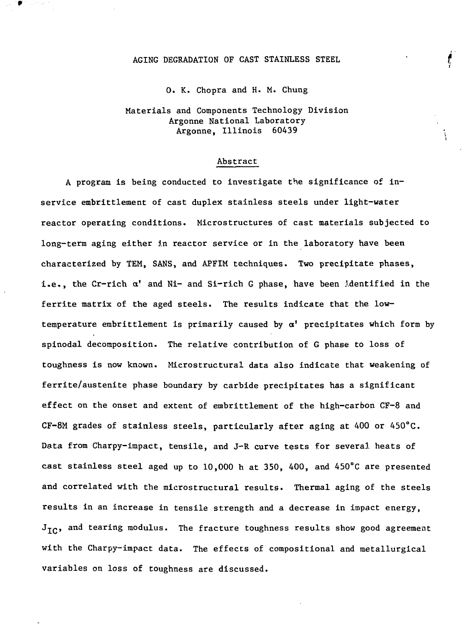### AGING DEGRADATION OF CAST STAINLESS STEEL

0. K. Chopra and H. M. Chung

# Materials and Components Technology Division Argonne National Laboratory Argonne, Illinois 60439

#### Abstract

A program is being conducted to investigate the significance of inservice embrittlement of cast duplex stainless steels under light-water reactor operating conditions. Microstructures of cast materials subjected to long-term aging either in reactor service or in the laboratory have been characterized by TEM, SANS, and APFIM techniques. Two precipitate phases, i.e., the Cr-rich  $\alpha'$  and Ni- and Si-rich G phase, have been ldentified in the ferrite matrix of the aged steels. The results indicate that the lowtemperature embrittlement is primarily caused by  $\alpha'$  precipitates which form by spinodal decomposition. The relative contribution of G phase to loss of toughness is now known. Microstructural data also indicate that weakening of ferrite/austenite phase boundary by carbide precipitates has a significant effect on the onset and extent of embrittlement of the high-carbon CF-8 and CF-8M grades of stainless steels, particularly after aging at 400 or  $450^{\circ}$ C. Data from Charpy-impact, tensile, and J-R curve tests for several heats of cast stainless steel aged up to 10,000 h at 350, 400, and 450°C are presented and correlated with the microstructural results. Thermal aging of the steels results in an increase in tensile strength and a decrease in impact energy,  $J_{\text{TC}}$ , and tearing modulus. The fracture toughness results show good agreement with the Charpy-impact data. The effects of compositional and metallurgical variables on loss of toughness are discussed.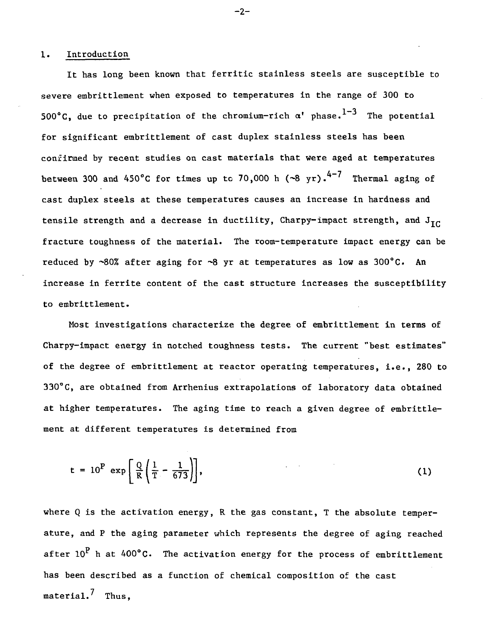### 1. Introduction

It has long been known that ferritic stainless steels are susceptible to severe embrittlement when exposed to temperatures in the range of 300 to 500°C, due to precipitation of the chromium-rich  $\alpha^{\prime}$  phase. $^{1-3}$  The potential for significant embrittlement of cast duplex stainless steels has been confirmed by recent studies on cast materials that were aged at temperatures between 300 and 450°C for times up to 70,000 h  $(\sim 8 \text{ yr})$ .<sup>4-7</sup> Thermal aging of cast duplex steels at these temperatures causes an increase in hardness and tensile strength and a decrease in ductility, Charpy-impact strength, and  $J_{\text{TC}}$ fracture toughness of the material. The room-temperature impact energy can be reduced by  $\sim 80\%$  after aging for  $\sim 8$  yr at temperatures as low as 300°C. An increase in ferrite content of the cast structure increases the susceptibility to embrittlement.

Most investigations characterize the degree of embrittlement in terms of Charpy-impact energy in notched toughness tests. The current "best estimates" of the degree of embrittlement at reactor operating temperatures, i.e., 280 to 330°C, are obtained from Arrhenius extrapolations of laboratory data obtained at higher temperatures. The aging time to reach a given degree of embrittlement at different temperatures is determined from

$$
t = 10^P \exp\left[\frac{Q}{R}\left(\frac{1}{T} - \frac{1}{673}\right)\right],
$$
 (1)

where Q is the activation energy, R the gas constant, T the absolute temperature, and P the aging parameter which represents the degree of aging reached after  $10^{\rm P}$  h at 400°C. The activation energy for the process of embrittlement has been described as a function of chemical composition of the cast material. $<sup>7</sup>$  Thus.</sup>

 $-2-$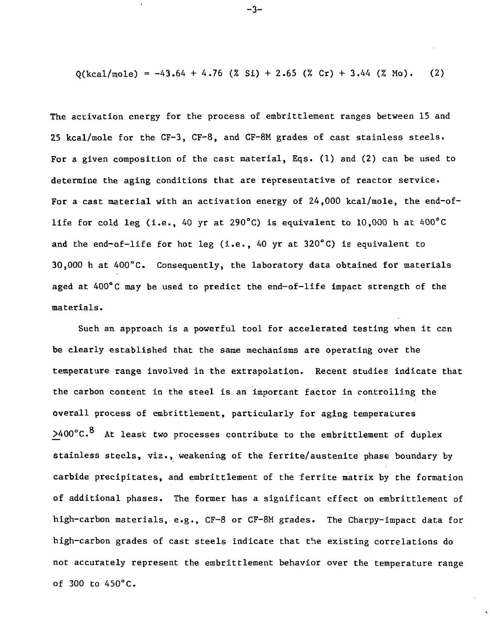$O(\text{kcal/mol}) = -43.64 + 4.76$  (% Si) + 2.65 (% Cr) + 3.44 (% Mo). (2)

The activation energy for the process of embrittlement ranges between 15 and 25 kcal/mole for the CF-3, CF-8, and CF-8M grades of cast stainless steels. For a given composition of the cast material, Eqs. (1) and (2) can be used to determine the aging conditions that are representative of reactor service. For a cast material with an activation energy of 24,000 kcal/mole, the end-oflife for cold leg (i.e., 40 yr at 290°C) is equivalent to 10,000 h at 400°C and the end-of-life for hot leg (i.e., 40 yr at  $320^{\circ}$ C) is equivalent to 30,000 h at 400°C. Consequently, the laboratory data obtained for materials aged at  $400^{\circ}$ C may be used to predict the end-of-life impact strength of the materials.

Such an approach is a powerful tool for accelerated testing when it can be clearly established that the same mechanisms are operating over the temperature range involved in the extrapolation. Recent studies indicate that the carbon content in the steel is an important factor in controlling the overall process of embrittlement, particularly for aging temperatures  $>400^{\circ}$ C.<sup>8</sup> At least two processes contribute to the embrittlement of duplex stainless steels, viz., weakening of the ferrite/austenite phase boundary by carbide precipitates, and embrittlement of the fefrite matrix by the formation of additional phases. The former has a significant effect on embrittlement of high-carbon materials, e.g., CF-8 or CF-8M grades. The Charpy-impact data for high-carbon grades of cast steels indicate that the existing correlations do not accurately represent the embrittlement behavior over the temperature range of 300 to 45O°C.

-3-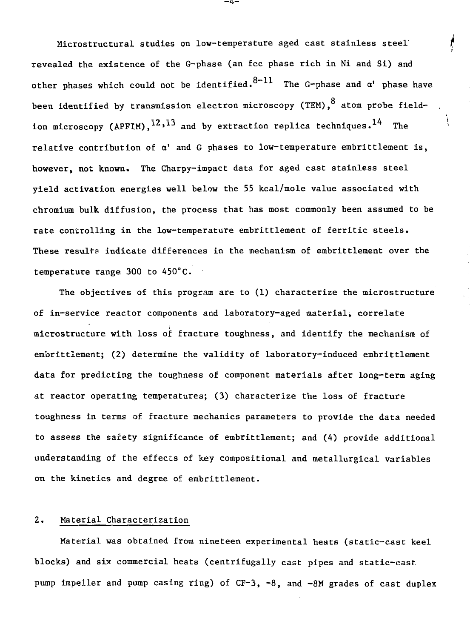Microstructural studies on low-temperature aged cast stainless steel' revealed the existence of the G-phase (an fee phase rich in Ni and Si) and other phases which could not be identified. $8-11$  The G-phase and  $\alpha^\ast$  phase have been identified by transmission electron microscopy (TEM),  $8$  atom probe fieldion microscopy (APFIM),  $^{12}$ ,  $^{13}$  and by extraction replica techniques. <sup>14</sup> The however, not known. The Charpy-impact data for aged cast stainless steel yield activation energies well below the 55 kcal/mole value associated with chromium bulk diffusion, the process that has most commonly been assumed to be rate controlling in the low-temperature embrittlement of ferritic steels. These results indicate differences in the mechanism of embrittlement over the temperature range 300 to 450°C.

The objectives of this program are to (1) characterize the microstructure of in-service reactor components and laboratory-aged material, correlate of in—service reactor components and laboratory-aged material, correlate microstructure with loss of fracture toughness, and identify the mechanism of embrittlement; (2) determine the validity of laboratory-induced embrittlement embrittlement; (2) determine the validity of laboratory-induced embrittlement data for predicting the toughness of component materials after long-term aging data for predicting the toughness of component materials after long-term aging at reactor operating temperatures; (3) characterize the loss of fracture toughness in terms of fracture mechanics parameters to provide the data needed to assess the safety significance of embrittlement; and (4) provide additional  $\frac{1}{2}$  composition of  $\frac{1}{2}$  compositional and metallurgical variables of  $\frac{1}{2}$ on the kinetics and degree of embrittlement.

### 2. Material Characterization

Material was obtained from nineteen experimental heats (static-cast keel blocks) and six commercial heats (centrifugally cast pipes and static-cast pump impeller and pump casing ring) of CF-3, -8, and -8M grades of cast duplex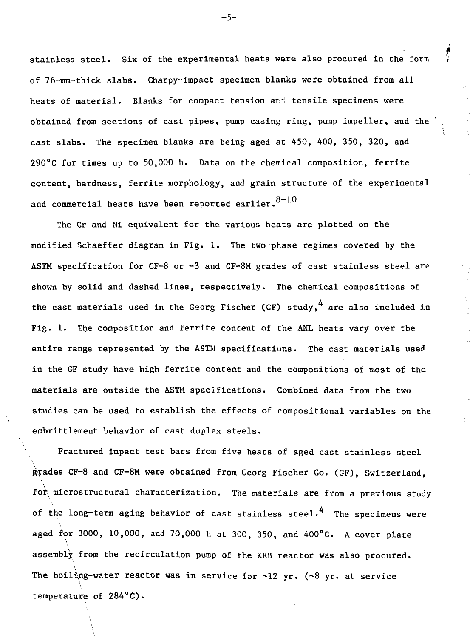stainless steel. Six of the experimental heats were also procured in the form ,' of 76-mm-thick slabs. Charpy-impact specimen blanks were obtained from all heats of material. Blanks for compact tension ard tensile specimens were obtained from sections of cast pipes, pump casing ring, pump impeller, and the cast slabs. The specimen blanks are being aged at 450, 400, 350, 320, and 290°C for times up to 50,000 h. Data on the chemical composition. ferrite content, hardness, ferrite morphology, and grain structure of the experimental and commercial heats have been reported earlier.  $8-10$ 

;

The Cr and Ni equivalent for the various heats are plotted on the modified Schaeffer diagram in Fig. 1. The two-phase regimes covered by the ASTM specification for  $CF-8$  or  $-3$  and  $CF-8M$  grades of cast stainless steel are shown by solid and dashed lines, respectively. The chemical compositions of the cast materials used in the Georg Fischer (GF) study. <sup>4</sup> are also included in Fig. 1. The composition and ferrite content of the ANL heats vary over the entire range represented by the ASTM specifications. The cast materials used in the GF study have high ferrite content and the compositions of most of the materials are outside the ASTM specifications. Combined data from the two studies can be used to establish the effects of compositional variables on the embrittlement behavior of cast duplex steels.

Fractured impact test bars from five heats of aged cast stainless steel grades CF-8 and CF-8M were obtained from Georg Fischer Co. (GF), Switzerland, for microstructural characterization. The materials are from a previous study of the long-term aging behavior of cast stainless steel.<sup>4</sup> The specimens were aged for 3000, 10,000, and 70,000 h at 300, 350, and 400°C. A cover plate assembly from the recirculation pump of the KRB reactor was also procured. The boiling-water reactor was in service for  $\sim$ 12 yr. ( $\sim$ 8 yr. at service temperature of  $284^{\circ}C$ ).

temperature of 284°C).

-5-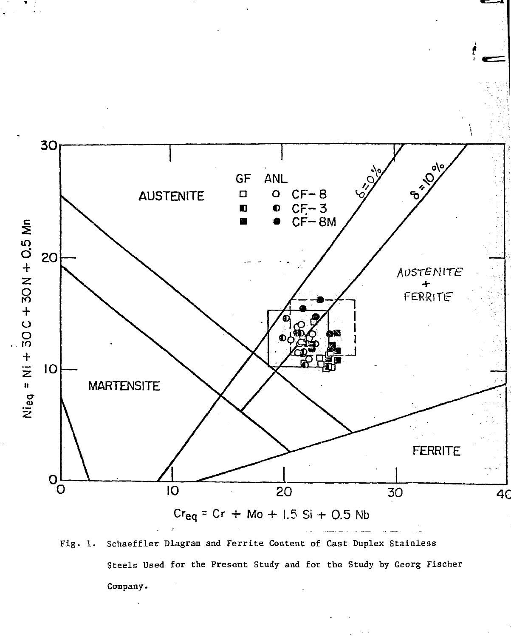

Fig. 1. Schaeffler Diagram and Ferrite Content of Cast Duplex Stainless Steels Used for the Present Study and for the Study by Georg Fischer Company.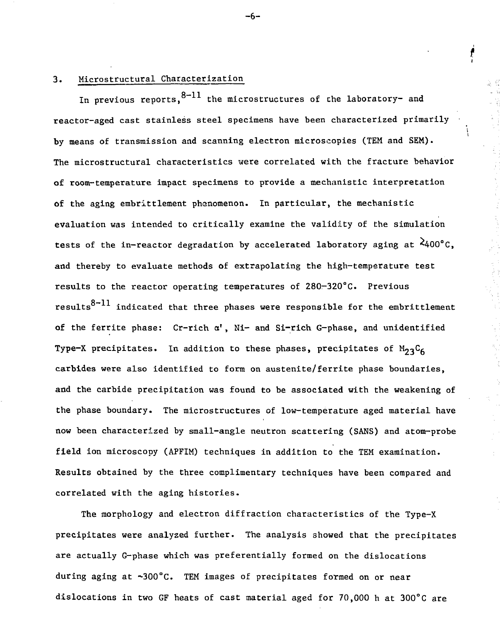## 3. Microstructural Characterization

In previous reports,  $8-11$  the microstructures of the laboratory- and reactor-aged cast stainless steel specimens have been characterized primarily by means of transmission and scanning electron microscopies (TEM and SEM). The microstructural characteristics were correlated with the fracture behavior of room-temperature impact specimens to provide a mechanistic interpretation of the aging embrittlement phenomenon. In particular, the mechanistic evaluation was intended to critically examine the validity of the simulation tests of the in-reactor degradation by accelerated laboratory aging at  $\lambda$ 400°C. and thereby to evaluate methods of extrapolating the high-temperature test results to the reactor operating temperatures of 280-320°C. Previous results $^{8-11}$  indicated that three phases were responsible for the embrittlement of the ferrite phase: Cr-rich  $\alpha'$ , Ni- and Si-rich G-phase, and unidentified Type-X precipitates. In addition to these phases, precipitates of  $M_{23}C_{6}$ carbides were also identified to form on austenite/ferrite phase boundaries, and the carbide precipitation was found to be associated with the weakening of the phase boundary. The microstructures of low-temperature aged material have now been characterized by small-angle neutron scattering (SANS) and atom-probe field ion microscopy (APFIM) techniques in addition to the TEM examination. Results obtained by the three complimentary techniques have been compared and correlated with the aging histories.

The morphology and electron diffraction characteristics of the Type-X precipitates were analyzed further. The analysis showed that the precipitates are actually G-phase which was preferentially formed on the dislocations during aging at ~300°C. TEM images of precipitates formed on or near dislocations in two GF heats of cast material aged for 70,000 h at 300°C are

-6-

f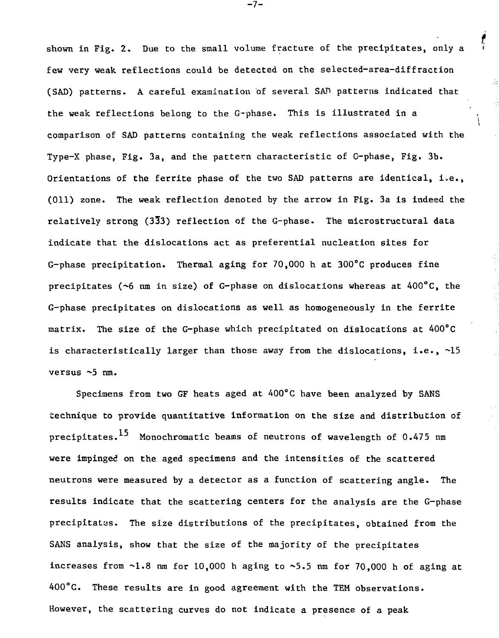shown in Fig. 2. Due to the small volume fracture of the precipitates, only a ' few very weak reflections could be detected on the selected-area-diffraction (SAD) patterns. A careful examination of several SAD patterns indicated that the weak reflections belong to the G-phase. This is illustrated in a comparison of SAD patterns containing the weak reflections associated with the Type-X phase, Fig. 3a, and the pattern characteristic of G-phase, Fig. 3b. Orientations of the ferrite phase of the two SAD patterns are identical, i.e., (Oil) zone. The weak reflection denoted by the arrow in Fig. 3a is indeed the relatively strong (333) reflection of the G-phase. The microstructural data indicate that the dislocations act as preferential nucleation sites for G-phase precipitation. Thermal aging for 70,000 h at 300°C produces fine precipitates ( $\sim$ 6 nm in size) of G-phase on dislocations whereas at 400 $^{\circ}$ C, the G-phase precipitates on dislocations as well as homogeneously in the ferrite matrix. The size of the G-phase which precipitated on dislocations at 400°C is characteristically larger than those away from the dislocations, i.e., ~15 versus ~5 nm.

Specimens from two GF heats aged at 400°C have been analyzed by SANS technique to provide quantitative information on the size and distribution of precipitates.<sup>15</sup> Monochromatic beams of neutrons of wavelength of 0.475 nm were impinged on the aged specimens and the intensities of the scattered neutrons were measured by a detector as a function of scattering angle. The results indicate that the scattering centers for the analysis are the G-phase precipitates. The size distributions of the precipitates, obtained from the SANS analysis, show that the size of the majority of the precipitates increases from  $\sim1.8$  nm for 10,000 h aging to  $\sim5.5$  nm for 70,000 h of aging at 400°C. These results are in good agreement with the TEM observations. However, the scattering curves do not indicate a presence of a peak

-7-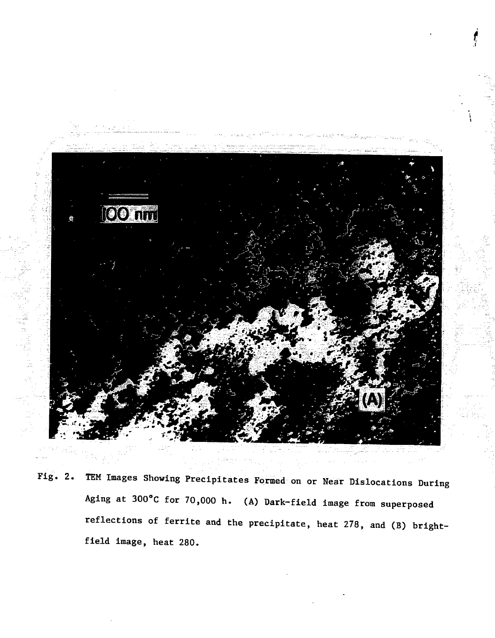

Fig. 2. TEM Images Showing Precipitates Formed on or Near Dislocations During Aging at 300°C for 70,000 h. (A) Dark-field image from superposed reflections of ferrite and the precipitate, heat 278, and (B) brightfield image, heat 280.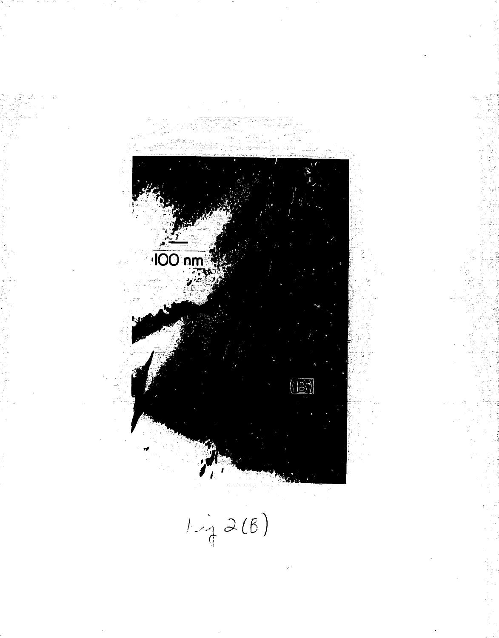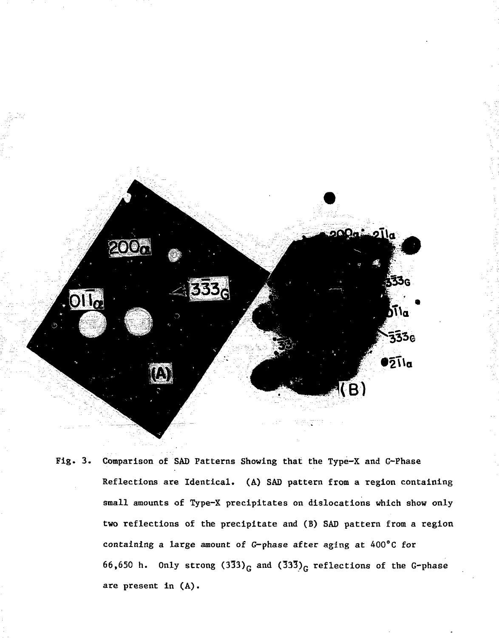

Fig. 3. Comparison of SAD Patterns Showing that the Type-X and G-Phase Reflections are Identical. (A) SAD pattern from a region containing small amounts of Type-X precipitates on dislocations which show only two reflections of the precipitate and (B) SAD pattern from a region containing a large amount of G-phase after aging at 400°C for 66,650 h. Only strong  $(3\bar{3}3)_{G}$  and  $(33\bar{3})_{G}$  reflections of the G-phase are present in (A).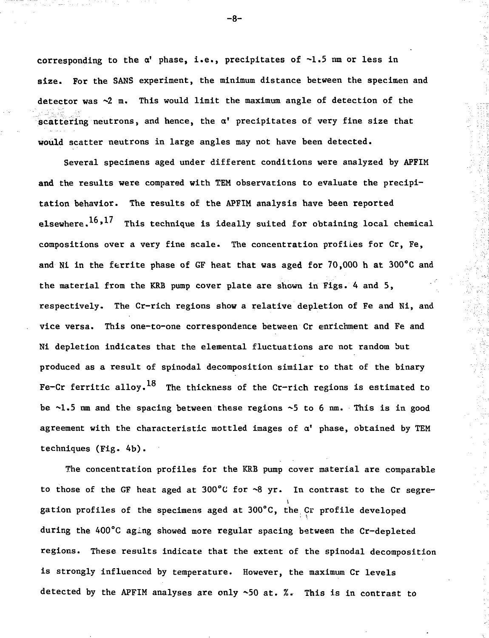corresponding to the  $\alpha'$  phase, i.e., precipitates of  $\neg$ 1.5 nm or less in size. For the SANS experiment, the minimum distance between the specimen and detector was  $\sim$ 2 m. This would limit the maximum angle of detection of the scattering neutrons, and hence, the  $\alpha'$  precipitates of very fine size that **would** scatter neutrons in large angles may not have been detected.

Several specimens aged under different conditions were analyzed by APFIM **and** the results were compared with TEM observations to evaluate the precipitation behavior. The results of the APFIM analysis have been reported elsewhere.<sup>16,17</sup> This technique is ideally suited for obtaining local chemical compositions over a very fine scale. The concentration profiles for Cr, Fe, and Ni in the ferrite phase of GF heat that was aged for 70,000 h at 300°C and the material from the KRB pump cover plate are shown in Figs. 4 and 5, respectively. The Cr-rich regions show a relative depletion of Fe and Ni, and vice versa. This one-to-one correspondence between Cr enrichment and Fe and Ni depletion indicates that the elemental fluctuations are not random but produced as a result of spinodal decomposition similar to that of the binary Fe-Cr ferritic alloy.<sup>18</sup> The thickness of the Cr-rich regions is estimated to be  $\sim$ 1.5 nm and the spacing between these regions  $\sim$ 5 to 6 nm. This is in good agreement with the characteristic mottled images of  $\alpha'$  phase, obtained by TEM techniques (Fig. 4b).

The concentration profiles for the KRB pump cover material are comparable to those of the GF heat aged at  $300^{\circ}$ C for  $\sim 8$  yr. In contrast to the Cr segregation profiles of the specimens aged at 300°C, the Cr profile developed during the 400°C aging showed more regular spacing between the Cr-depleted regions. These results indicate that the extent of the spinodal decomposition is strongly influenced by temperature. However, the maximum Cr levels detected by the APFIM analyses are only ~50 at. %. This is in contrast to

-8-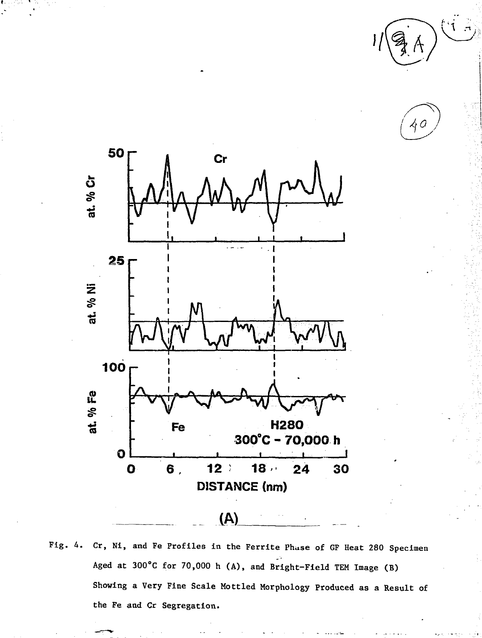ζŗζ



Fig. 4. Cr, Ni, and Fe Profiles in the Ferrite Phase of GF Heat 280 Specimen Aged at 300°C for 70,000 h (A), and Bright-Field TEM Image (B) Showing a Very Fine Scale Mottled Morphology Produced as a Result of the Fe and Cr Segregation.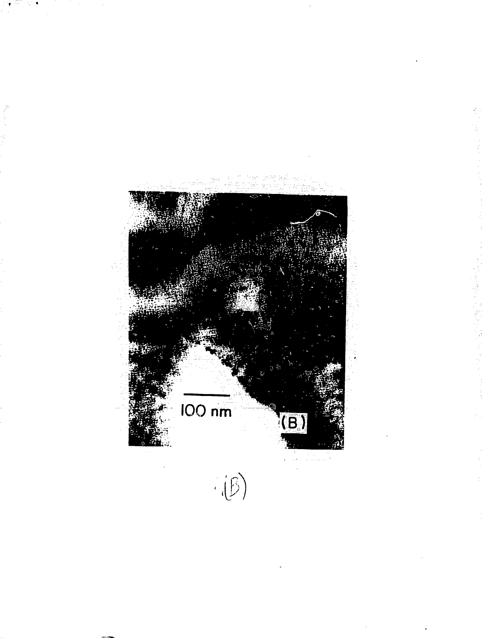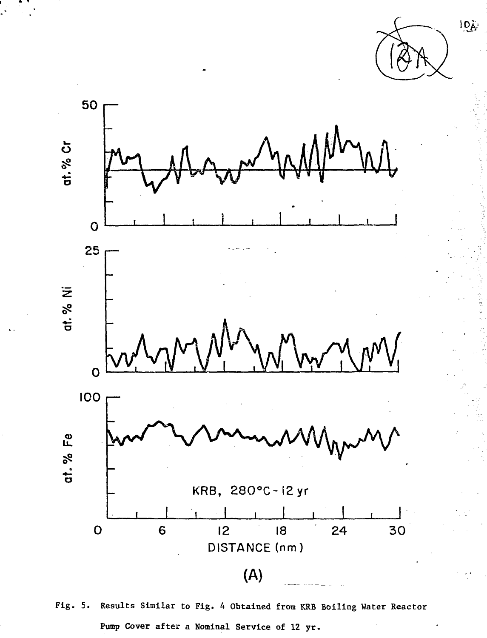



Fig. 5. Results Similar to Fig. A Obtained from KRB Boiling Water Reactor Pump Cover after a Nominal Service of 12 yr.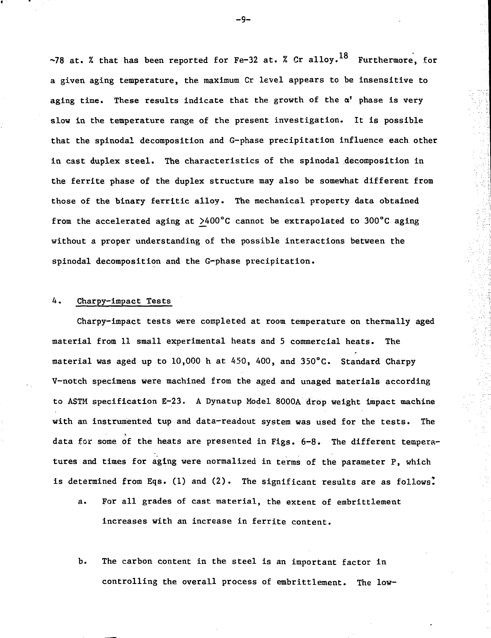~78 at. % that has been reported for Fe-32 at. % Cr alloy.<sup>18</sup> Furthermore, for a given aging temperature, the maximum Cr level appears to be insensitive to aging time. These results indicate that the growth of the  $\alpha^t$  phase is very slow in the temperature range of the present investigation. It is possible that the spinodal decomposition and G-phase precipitation influence each other in cast duplex steel. The characteristics of the spinodal decomposition in the ferrite phase of the duplex structure may also be somewhat different from those of the binary ferritic alloy. The mechanical property data obtained from the accelerated aging at  $>400^{\circ}$ C cannot be extrapolated to 300°C aging without a proper understanding of the possible interactions between the spinodal decomposition and the G-phase precipitation.

### 4. Charpy-impact Tests

Charpy-impact tests were completed at room temperature on thermally aged material from 11 small experimental heats and 5 commercial heats. The material was aged up to 10,000 h at 450, 400, and 350°G. Standard Charpy V—notch specimens were machined from the aged and unaged materials according to ASTM specification E-23. A Dynatup Model 8000A drop weight impact machine with an instrumented tup and data-readout system was used for the tests. The data for some of the heats are presented in Figs. 6-8. The different temperatures and times for aging were normalized in terms of the parameter P, which is determined from Eqs. (1) and (2). The significant results are as follows.

- a. For all grades of cast material, the extent of embrittlement increases with an increase in ferrite content.
- b. The carbon content in the steel is an important factor in controlling the overall process of embrittlement. The low-

-9-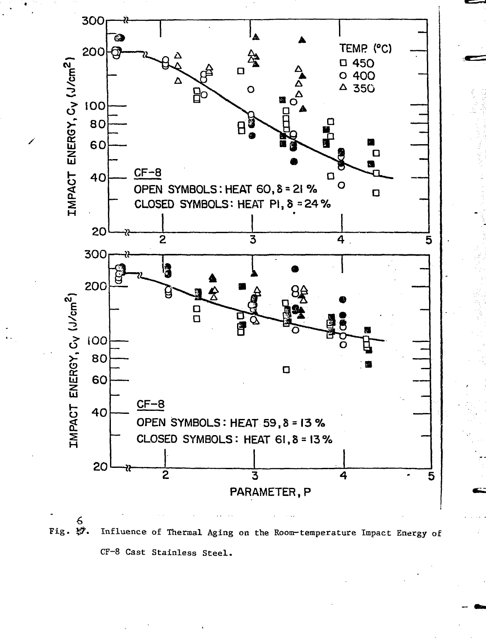

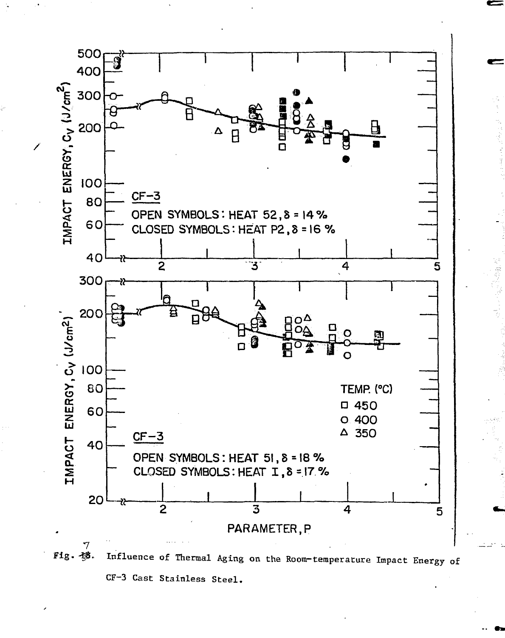

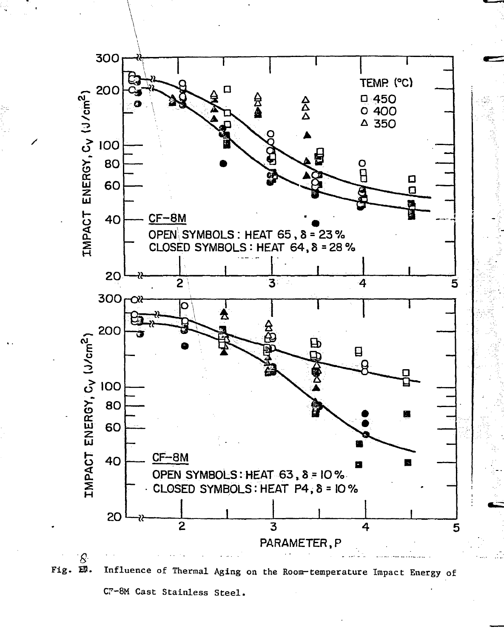

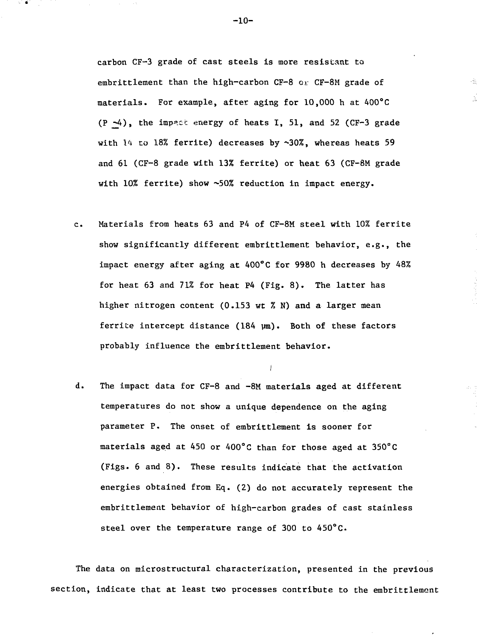carbon CF-3 grade of cast steels is more resistant to embrittlement than the high-carbon CF-8 or CF-8M grade of materials. For example, after aging for 10,000 h at 400°C  $(P -4)$ , the impact energy of heats I, 51, and 52 (CF-3 grade with  $14$  to 18% ferrite) decreases by  $\sim 30\%$ , whereas heats 59 and 61 (CF-8 grade with 13% ferrite) or heat 63 (CF-8M grade with 10% ferrite) show ~50% reduction in impact energy.

- c. Materials from heats 63 and P4 of CF-8M steel with 10% ferrite show significantly different embrittlement behavior, e.g., the impact energy after aging at 400°C for 9980 h decreases by 48% for heat 63 and 71% for heat P4 (Fig. 8). The latter has higher nitrogen content (0.153 wt % N) and a larger mean ferrite intercept distance  $(184 \mu m)$ . Both of these factors probably influence the embrittlement behavior.
- d. The impact data for CF-8 and -8M materials aged at different temperatures do not show a unique dependence on the aging parameter P. The onset of embrittlement is sooner for materials aged at 450 or 400°C than for those aged at 350°C (Figs. 6 and 8). These results indicate that the activation energies obtained from Eq. (2) do not accurately represent the embrittlement behavior of high-carbon grades of cast stainless steel over the temperature range of 300 to 450°C.

The data on microstructural characterization, presented in the previous section, indicate that at least two processes contribute to the embrittlement

 $-10-$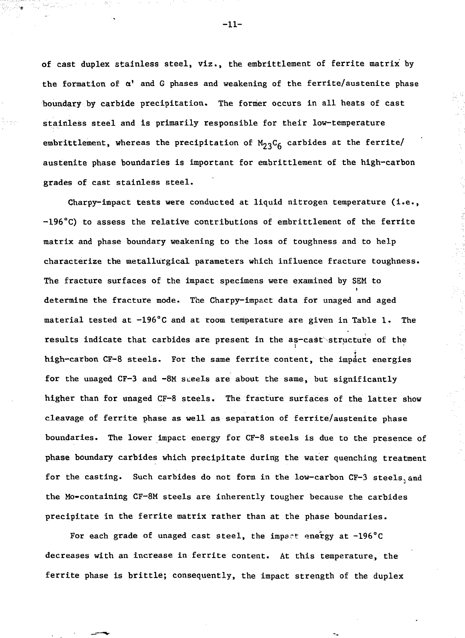of cast duplex stainless steel, viz., the embrittlement of ferrite matrix by the formation of  $\alpha'$  and G phases and weakening of the ferrite/austenite phase boundary by carbide precipitation. The former occurs in all heats of cast stainless steel and is primarily responsible for their low-temperature embrittlement, whereas the precipitation of  $M_{23}C_6$  carbides at the ferrite/ austenite phase boundaries is important for embrittlement of the high-carbon grades of cast stainless steel.

Charpy-impact tests were conducted at liquid nitrogen temperature (i.e., -196°C) to assess the relative contributions of embrittlement of the ferrite matrix and phase boundary weakening to the loss of toughness and to help characterize the metallurgical parameters which influence fracture toughness. The fracture surfaces of the impact specimens were examined by SEM to determine the fracture mode. The Charpy-impact data for unaged and aged material tested at -196°C and at room temperature are given in Table 1. The results indicate that carbides are present in the as-cast structure of the high-carbon CF-8 steels. For the same ferrite content, the impact energies for the unaged CF-3 and -8M sceels are about the same, but significantly higher than for unaged CF-8 steels. The fracture surfaces of the latter show cleavage of ferrite phase as well as separation of ferrite/austenite phase boundaries. The lower impact energy for CF-8 steels is due to the presence of phase boundary carbides which precipitate during the water quenching treatment for the casting. Such carbides do not form in the low-carbon CF-3 steels, and the Mo-containing CF-8M steels are inherently tougher because the carbides precipitate in the ferrite matrix rather than at the phase boundaries.

For each grade of unaged cast steel, the impact energy at  $-196^{\circ}$ C decreases with an increase in ferrite content. At this temperature, the ferrite phase is brittle; consequently, the impact strength of the duplex

 $-11-$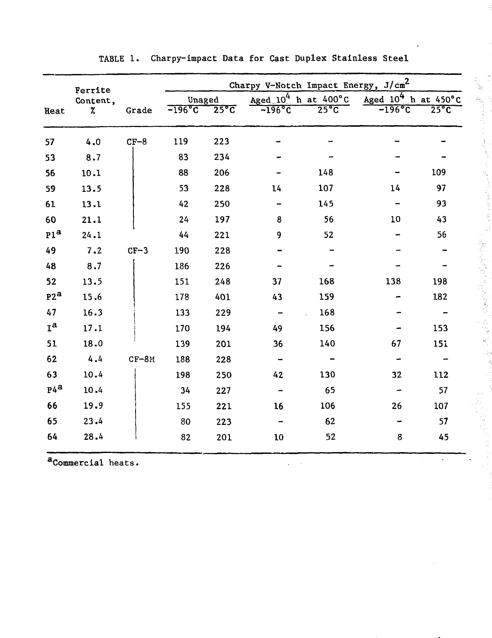|                  | Ferrite<br>Content, |         | Charpy V-Notch Impact Energy, J/cm <sup>2</sup> |                |                                  |                |                                  |                |  |
|------------------|---------------------|---------|-------------------------------------------------|----------------|----------------------------------|----------------|----------------------------------|----------------|--|
|                  |                     |         | Unaged                                          |                | Aged $10^4$ h at $400^{\circ}$ C |                | Aged $10^4$ h at $450^{\circ}$ C |                |  |
| Heat             | %                   | Grade   | $-196$ °C                                       | $25^{\circ}$ C | $-196$ °C                        | $25^{\circ}$ C | $-196$ °C                        | $25^{\circ}$ C |  |
| 57               | 4.0                 | $CF-8$  | 119                                             | 223            |                                  |                |                                  |                |  |
| 53               | 8.7                 |         | 83                                              | 234            |                                  |                |                                  |                |  |
| 56               | 10.1                |         | 88                                              | 206            |                                  | 148            |                                  | 109            |  |
| 59               | 13.5                |         | 53                                              | 228            | 14                               | 107            | 14                               | 97             |  |
| 61               | 13.1                |         | 42                                              | 250            |                                  | 145            |                                  | 93             |  |
| 60               | 21.1                |         | 24                                              | 197            | 8                                | 56             | 10                               | 43             |  |
| P1 <sup>a</sup>  | 24.1                |         | 44                                              | 221            | 9                                | 52             |                                  | 56             |  |
| 49               | 7.2                 | $CF-3$  | 190                                             | 228            |                                  |                |                                  |                |  |
| 48               | 8.7                 |         | 186                                             | 226            |                                  |                |                                  |                |  |
| 52               | 13.5                |         | 151                                             | 248            | 37                               | 168            | 138                              | 198            |  |
| P2 <sup>a</sup>  | 15.6                |         | 178                                             | 401            | 43                               | 159            |                                  | 182            |  |
| 47               | 16.3                |         | 133                                             | 229            | $\overline{\phantom{0}}$         | 168            |                                  |                |  |
| $I^{\mathbf{a}}$ | 17.1                |         | 170                                             | 194            | 49                               | 156            |                                  | 153            |  |
| 51               | 18.0                |         | 139                                             | 201            | 36                               | 140            | 67                               | 151            |  |
| 62               | 4.4                 | $CF-8M$ | 188                                             | 228            |                                  |                |                                  |                |  |
| 63               | 10.4                |         | 198                                             | 250            | 42                               | 130            | 32                               | 112            |  |
| P4 <sup>a</sup>  | 10.4                |         | 34                                              | 227            |                                  | 65             |                                  | 57             |  |
| 66               | 19.9                |         | 155                                             | 221            | 16                               | 106            | 26                               | 107            |  |
| 65               | 23.4                |         | 80                                              | 223            |                                  | 62             |                                  | 57             |  |
| 64               | 28.4                |         | 82                                              | 201            | 10                               | 52             | 8                                | 45             |  |

 $\sim$  $\ddot{\phantom{a}}$ 

TABLE 1. Gharpy-impact Data for Cast Duplex Stainless Steel

y.

计主机图 医内障性

 $\left( \frac{1}{2} \int_{0}^{2\pi} \left( \frac{1}{2} \right) \left( \frac{1}{2} \right) \, d \tau \right)^{-1/2}$ 

 $\ddot{\phantom{0}}$ 

a<sub>Commercial heats.</sub>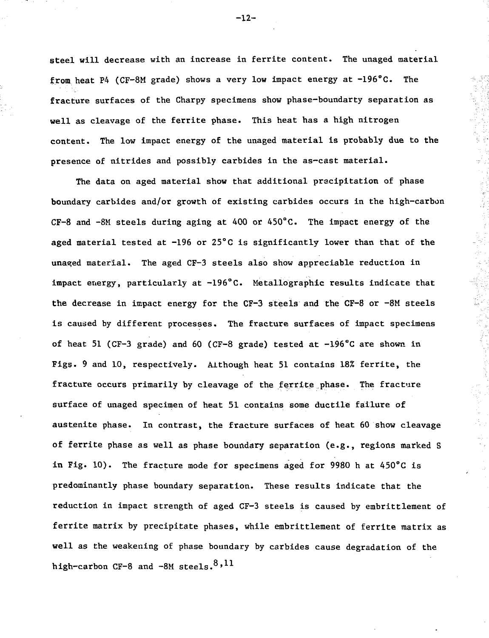steel will decrease with an increase in ferrlte content. The unaged material from heat P4 (CF-8M grade) shows a very low impact energy at -196°C. The fracture surfaces of the Gharpy specimens show phase-boundarty separation as well as cleavage of the ferrite phase. This heat has a high nitrogen content. The low impact energy of the unaged material is probably due to the presence of nitrides and possibly carbides in the as-cast material.

The data on aged material show that additional precipitation of phase boundary carbides and/or growth of existing carbides occurs in the high-carbon CF-8 and -8M steels during aging at 400 or 450°C. The impact energy of the aged material tested at  $-196$  or  $25^{\circ}$ C is significantly lower than that of the unaged material. The aged CF-3 steels also show appreciable reduction in impact energy, particularly at -196°C. Metallographic results indicate that the decrease in impact energy for the CF-3 steels and the CF-8 or -8M steels is caused by different processes. The fracture surfaces of impact specimens of heat 51 (CF-3 grade) and 60 (CF-8 grade) tested at -196°C are shown in Figs. 9 and 10, respectively. Although heat 51 contains 18% ferrite, the fracture occurs primarily by cleavage of the ferrite phase. The fracture surface of unaged specimen of heat 51 contains some ductile failure of austenite phase. In contrast, the fracture surfaces of heat 60 show cleavage of ferrite phase as well as phase boundary separation (e.g., regions marked S in Fig. 10). The fracture mode for specimens aged for 9980 h at 450°C is predominantly phase boundary separation. These results indicate that the reduction in impact strength of aged CF-3 steels is caused by embrittlement of ferrite matrix by precipitate phases, while embrittlement of ferrite matrix as well as the weakening of phase boundary by carbides cause degradation of the high-carbon CF-8 and -8M steels. $8,11$ 

 $-12-$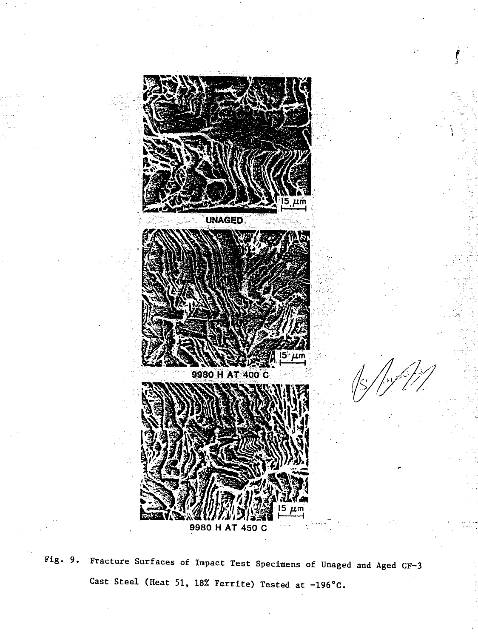

Fig. 9. Fracture Surfaces of Impact Test Specimens of Unaged and Aged CF-3 Cast Steel (Heat 51, 18% Ferrite) Tested at  $-196^{\circ}$ C.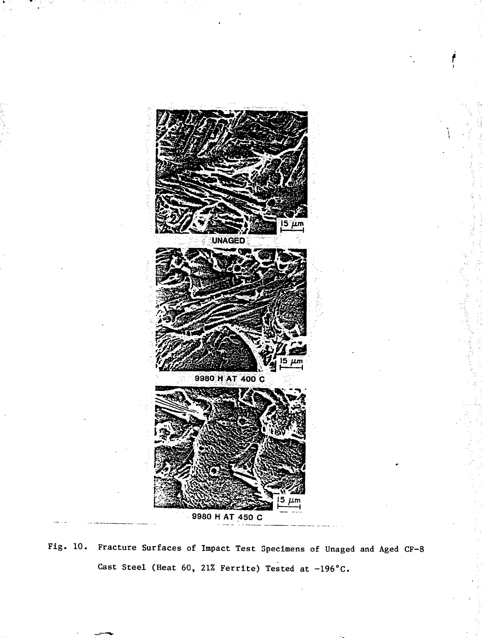

Fig. 10. Fracture Surfaces of Impact Test Specimens of Unaged and Aged CF-8 Cast Steel (Heat 60, 21% Ferrite) Tested at  $-196^{\circ}$ C.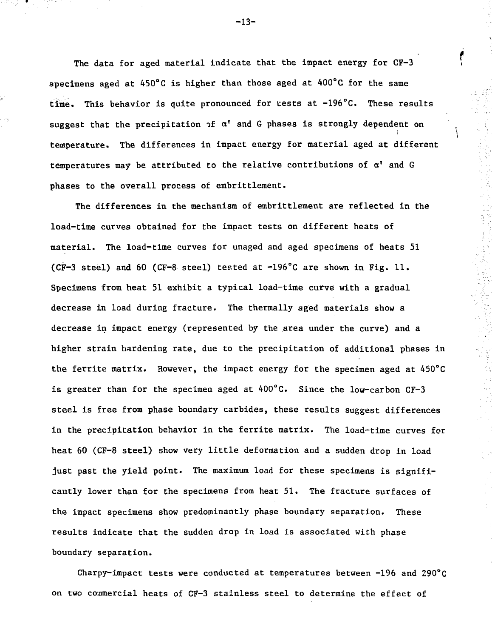The data for aged material indicate that the impact energy for CF-3 specimens aged at 450°C is higher than those aged at 400°C for the same time. This behavior is quite pronounced for tests at -196°C. These results suggest that the precipitation of  $\alpha^{\dagger}$  and G phases is strongly dependent on temperature. The differences in impact energy for material aged at different temperatures may be attributed to the relative contributions of  $\alpha'$  and G phases to the overall process of embrittlement.

The differences in the mechanism of embrittlement are reflected in the load-time curves obtained for the impact tests on different heats of material. The load-time curves for unaged and aged specimens of heats 51 (CF-3 steel) and 60 (CF-8 steel) tested at  $-196^{\circ}$ C are shown in Fig. 11. Specimens from heat 51 exhibit a typical load-time curve with a gradual decrease in load during fracture. The thermally aged materials show a decrease in impact energy (represented by the area under the curve) and a higher strain hardening rate, due to the precipitation of additional phases in the ferrite matrix. However, the impact energy for the specimen aged at 450°C is greater than for the specimen aged at  $400^{\circ}$ C. Since the low-carbon CF-3 steel is free from phase boundary carbides, these results suggest differences in the precipitation behavior in the ferrite matrix. The load-time curves for heat 60 (CF-8 steel) show very little deformation and a sudden drop in load just past the yield point. The maximum load for these specimens is significantly lower than for the specimens from heat 51. The fracture surfaces of the impact specimens show predominantly phase boundary separation. These results indicate that the sudden drop in load is associated with phase boundary separation.

Charpy-impact tests were conducted at temperatures between -196 and 290°C on two commercial heats of CF-3 stainless steel to determine the effect of

-13-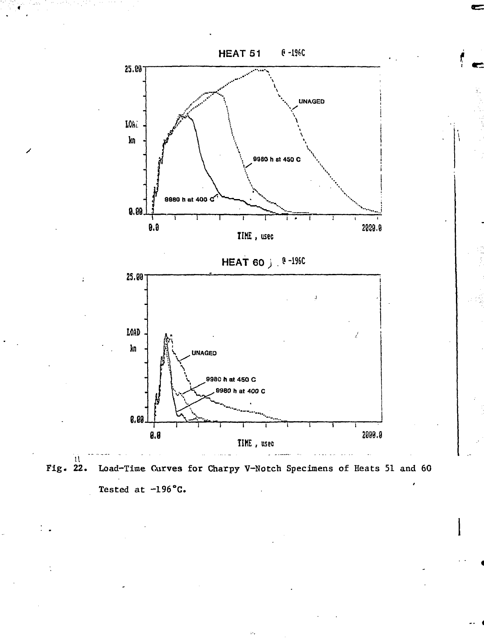



 $\mathcal{H}_i$ 

 $\mathbf{1}$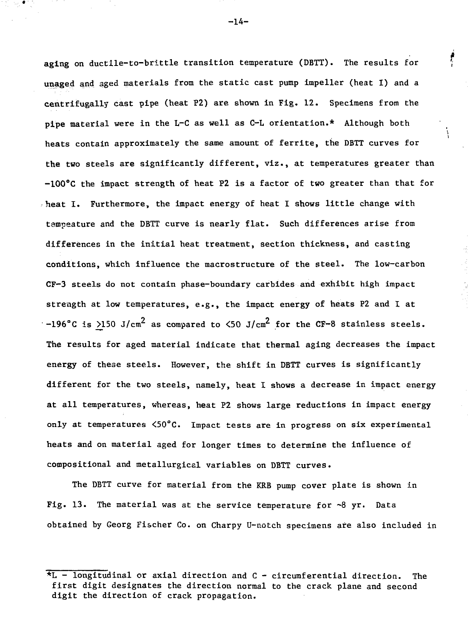aging on ductile-to-brittle transition temperature (DBTT). The results for unaged and aged materials from the static cast pump impeller (heat I) and a centrifugally cast pipe (heat P2) are shown in Fig. 12. Specimens from the pipe material were in the L-G as well as C-L orientation.\* Although both heats contain approximately the same amount of ferrite, the DBTT curves for the two steels are significantly different, viz., at temperatures greater than heat I. Furthermore, the impact energy of heat I shows little change with differences in the initial heat treatment, section thickness, and casting conditions, which influence the macrostructure of the steel. The low-carbon CF-3 steels do not contain phase-boundary carbides and exhibit high impact strength at low temperatures, e.g., the impact energy of heats P2 and I at strength at low temperatures, e.g., the impact energy of heats P2 and I at -196°C is 2.150 J/cm<sup>2</sup> as compared to <50 J/cm<sup>2</sup> for the CF-8 stainless steels. The results for aged material indicate that thermal aging decreases the impact The results for aged material indicate that thermal aging decreases the impact energy of these steels. However, the shift in DBTT curves is significantly energy of these steels. However, the shift in DBTT curves is significantly induced in DBTT curves is significantly different for the two steels, namely, heat I shows a decrease in impact energy at all temperatures, whereas, heat P2 shows large reductions in impact energy only at temperatures <50°C. Impact tests are in progress on six experimental  $\ddot{\phantom{a}}$  and on material agent times to determine the influence of  $\ddot{\phantom{a}}$ compositional and metallurgical variables on DBTT curves.

The DBTT curve for material from the KRB pump cover plate is shown in  $\mathcal{L}_{\mathcal{A}}$ obtained by Georg Fischer Co. on Charpy U-notch specimens are also included in

 $-14-$ 

t

 $\mathcal{L}$ 

 $\overline{t}$  - longitudinal or axial direction and C - circumferential direction. The first digit designates the direction normal to the crack plane and second digit the direction of crack propagation.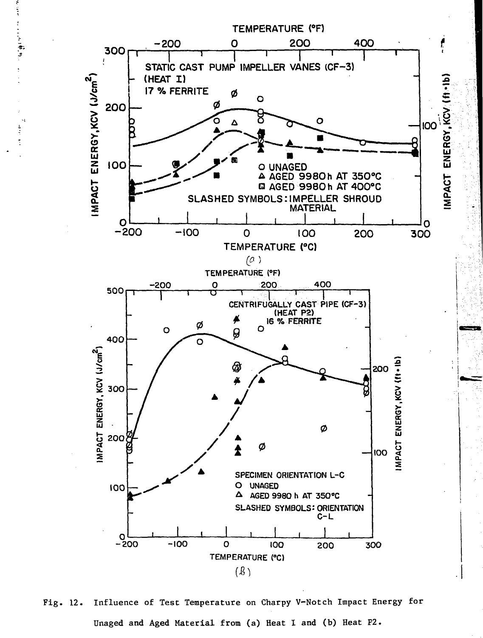

**•Si**<br>Si<br>Si<br>Si<br>Si<br>Si<br>Si<br>Si<br>Si

Fig. 12. Influence of Test Temperature on Charpy V-Notch Impact Energy for Unaged and Aged Material from (a) Heat I and (b) Heat P2.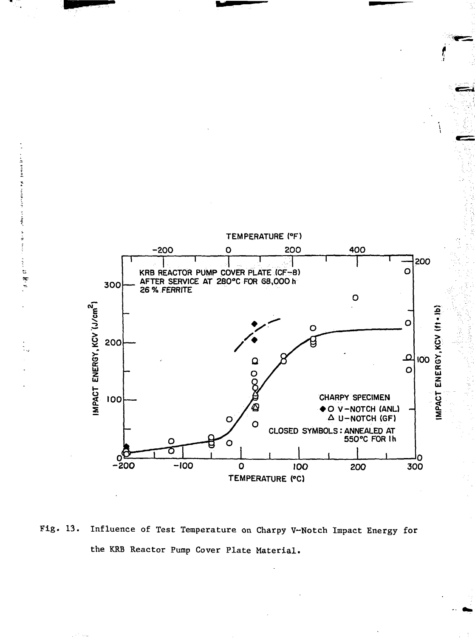

医胃上 Ň ă

> t. **R**

Fig. 13. Influence of Test Temperature on Charpy V-Notch Impact Energy for the KRB Reactor Pump Cover Plate Material.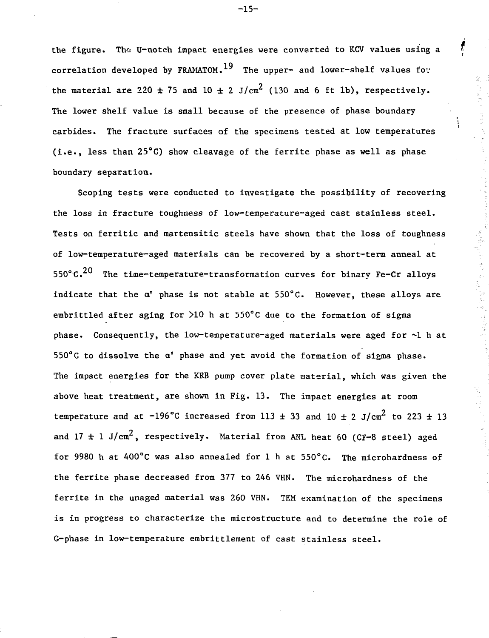the figure. The U-notch impact energies were converted to KCV values using a correlation developed by FRAMATOM.<sup>19</sup> The upper- and lower-shelf values for the material are 220  $\pm$  75 and 10  $\pm$  2 J/cm<sup>2</sup> (130 and 6 ft 1b), respectively. The lower shelf value is small because of the presence of phase boundary carbides. The fracture surfaces of the specimens tested at low temperatures carbides. The fracture surfaces of the specimens tested at low temperatures (i.e., less than 25°C) show cleavage of the ferrite phase as well as phase (i.e., less than 25°C) show cleavage of the ferrite phase as well as  $\mathcal{E}$ boundary separation.

boundary separation.

i

医动脉的第三人称形式

Scoping tests were conducted to investigate the possibility of recovering the loss in fracture toughness of low-temperature-aged cast stainless steel. Tests on ferritic and martensitic steels have shown that the loss of toughness of low-temperature—aged materials can be recovered by a short-term anneal at 550°C.<sup>20</sup> The time-temperature-transformation curves for binary Fe-Cr alloys indicate that the  $\alpha'$  phase is not stable at  $550^{\circ}$ C. However, these alloys are embrittled after aging for >10 h at 550°C due to the formation of sigma phase. Consequently, the low-temperature-aged materials were aged for ~1 h at 550°C to dissolve the a' phase and yet avoid the formation of sigma phase. The impact energies for the KRB pump cover plate material, which was given the above heat treatment, are shown in Fig. 13. The impact energies at room temperature and at -196°C increased from 113  $\pm$  33 and 10  $\pm$  2 J/cm<sup>2</sup> to 223  $\pm$  13 and 17  $\pm$  1 J/cm<sup>2</sup>, respectively. Material from ANL heat 60 (CF-8 steel) aged for 9980 h at 400°C was also annealed for 1 h at 550°C. The microhardness of the ferrite phase decreased from 377 to 246 VHN. The microhardness of the ferrite in the unaged material was 260 VHN. TEM examination of the specimens is in progress to characterize the microstructure and to determine the role of G-phase in low-temperature embrittlement of cast stainless steel.

-15-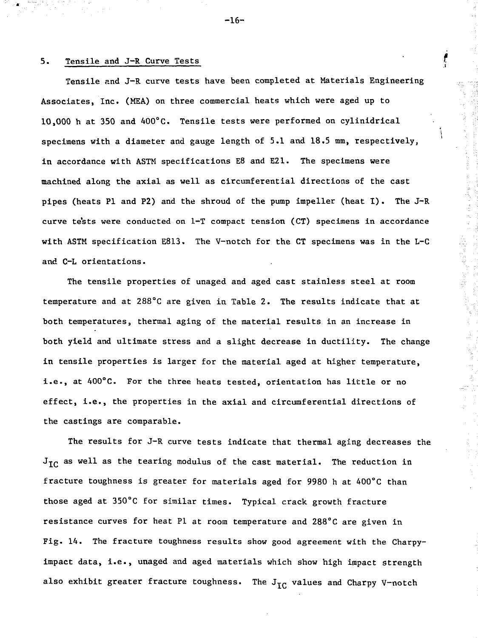### 5. Tensile and J-R Curve Tests

Tensile and J-R curve tests have been completed at Materials Engineering Associates, Inc. (MEA) on three commercial heats which were aged up to 10,000 h at 350 and 400°C. Tensile tests were performed on cylinidrical specimens with a diameter and gauge length of 5.1 and 18.5 mm, respectively, in accordance with ASTM specifications E8 and E21. The specimens were machined along the axial as well as circumferential directions of the cast pipes (heats PI and P2) and the shroud of the pump impeller (heat I) . The J-R curve te'sts were conducted on 1-T compact tension (CT) specimens in accordance with ASTM specification E813. The V-notch for the GT specimens was in the L-C and C-L orientations.

The tensile properties of unaged and aged cast stainless steel at room temperature and at 288°C are given in Table 2. The results indicate that at both temperatures, thermal aging of the material results in an increase in both yield and ultimate stress and a slight decrease in ductility. The change in tensile properties is larger for the material aged at higher temperature, i.e., at 400°C. For the three heats tested, orientation has little or no effect, i.e., the properties in the axial and circumferential directions of the castings are comparable.

2007年12月17日

The results for J-R curve tests indicate that thermal aging decreases the  $J_{\text{TC}}$  as well as the tearing modulus of the cast material. The reduction in fracture toughness is greater for materials aged for 9980 h at 400°C than those aged at 350°C for similar times. Typical crack growth fracture resistance curves for heat PI at room temperature and 288°C are given in Fig. 14. The fracture toughness results show good agreement with the Charpyimpact data, i.e., unaged and aged materials which show high impact strength also exhibit greater fracture toughness. The  $J_{IC}$  values and Charpy V-notch

-16-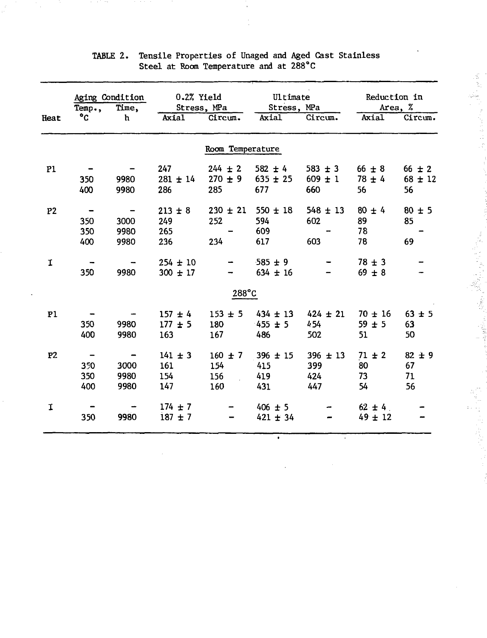|                | Aging Condition<br>Time,<br>Temp., |                                                      | 0.2% Yield<br>Stress, MPa        |                                   | Ultimate<br>Stress, MPa                |                                   | <b>Reduction in</b><br>Area, %  |                                 |
|----------------|------------------------------------|------------------------------------------------------|----------------------------------|-----------------------------------|----------------------------------------|-----------------------------------|---------------------------------|---------------------------------|
| Heat           | °C                                 | h                                                    |                                  | Axial Circum.                     | Axial                                  | Circum.                           |                                 | Axial Circum.                   |
|                |                                    |                                                      |                                  | Room Temperature                  |                                        |                                   |                                 |                                 |
| P1             | 350<br>400                         | 9980<br>9980                                         | 247<br>$281 \pm 14$<br>286       | $244 \pm 2$<br>$270 \pm 9$<br>285 | $582 \pm 4$<br>$635 \pm 25$<br>677     | $583 \pm 3$<br>$609 \pm 1$<br>660 | $66 \pm 8$<br>$78 \pm 4$<br>56  | $66 \pm 2$<br>$68 \pm 12$<br>56 |
| P <sub>2</sub> | 350<br>350<br>400                  | $\qquad \qquad \blacksquare$<br>3000<br>9980<br>9980 | $213 \pm 8$<br>249<br>265<br>236 | $230 \pm 21$<br>252<br>234        | $550 \pm 18$<br>594<br>609<br>617      | $548 \pm 13$<br>602<br>603        | $80 + 4$<br>89<br>78<br>78      | $80 \pm 5$<br>85<br>69          |
| I              | 350                                | 9980                                                 | $254 \pm 10$<br>$300 + 17$       |                                   | $-585 \pm 9$<br>$634 \pm 16$           |                                   | $78 \pm 3$<br>$69 \pm 8$        |                                 |
|                |                                    |                                                      |                                  | $288^{\circ}$ C                   |                                        |                                   |                                 |                                 |
| P1             | 350<br>400                         | 9980<br>9980                                         | $157 + 4$<br>$177 + 5$<br>163    | $153 + 5$<br>180<br>167           | $434 \pm 13$<br>$455 \pm 5$<br>486     | $424 \pm 21$<br>454<br>502        | $70 \pm 16$<br>$59 \pm 5$<br>51 | $63 \pm 5$<br>63<br>50          |
| P <sub>2</sub> | 350<br>350<br>400                  | $\blacksquare$<br>3000<br>9980<br>9980               | $141 \pm 3$<br>161<br>154<br>147 | $160 \pm 7$<br>154<br>156<br>160  | $396 \pm 15$<br>415<br>419<br>431      | $396 \pm 13$<br>399<br>424<br>447 | $71 \pm 2$<br>80<br>73<br>54    | $82 \pm 9$<br>67<br>71<br>56    |
| I              | 350                                | 9980                                                 | $174 + 7$<br>$187 + 7$           |                                   | $406 \pm 5$<br>$421 + 34$<br>$\bullet$ |                                   | $62 \pm 4$<br>$49 \pm 12$       |                                 |

# TABLE 2. Tensile Properties of Unaged and Aged Cast Stainless Steel at Room Temperature and at 288°C

医腹膜炎 医阿拉伯氏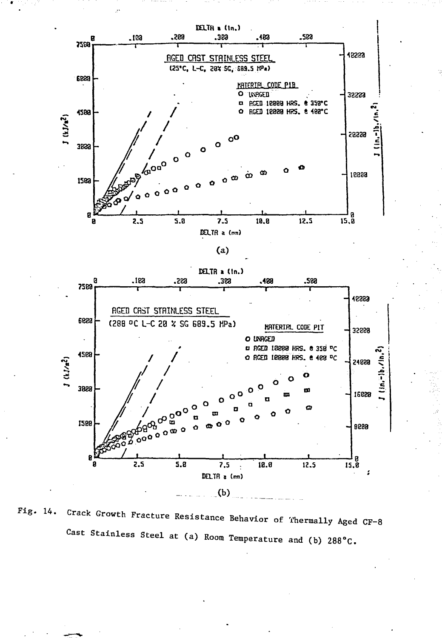

Fig. 14. Crack Growth Fracture Resistance Behavior of Thermally Aged CF-8 Cast Stainless Steel at (a) Room Temperature and (b) 288°C.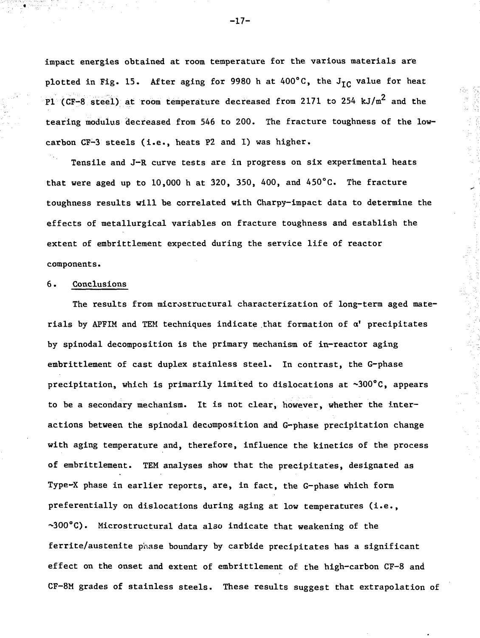impact energies obtained at room temperature for the various materials are plotted in Fig. 15. After aging for 9980 h at  $400^{\circ}$ C, the J<sub>IC</sub> value for heat Pl (CF-8 steel) at room temperature decreased from 2171 to 254 kJ/m<sup>2</sup> and the tearing modulus decreased from 546 to 200. The fracture toughness of the lowcarbon CF-3 steels (i.e., heats P2 and I) was higher.

Tensile and J-R curve tests are in progress on six experimental heats that were aged up to  $10,000$  h at  $320, 350, 400$ , and  $450^{\circ}$ C. The fracture toughness results will be correlated with Charpy-impact data to determine the effects of metallurgical variables on fracture toughness and establish the extent of embrittlement expected during the service life of reactor components.

### 6. Conclusions

The results from microstructural characterization of long-term aged materials by APFIM and TEM techniques indicate that formation of  $a'$  precipitates by spinodal decomposition is the primary mechanism of in-reactor aging embrittlement of cast duplex stainless steel. In contrast, the G-phase precipitation, which is primarily limited to dislocations at ~300°C, appears to be a secondary mechanism. It is not clear, however, whether the interactions between the spinodal decomposition and G-phase precipitation change with aging temperature and, therefore, influence the kinetics of the process of embrittlement. TEM analyses show that the precipitates, designated as Type-X phase in earlier reports, are, in fact, the G-phase which form preferentially on dislocations during aging at low temperatures (i.e., ~300°C). Microstructural data also indicate that weakening of the ferrite/austenite phase boundary by carbide precipitates has a significant effect on the onset and extent of embrittlement of the high-carbon CF-8 and CF-8M grades of stainless steels. These results suggest that extrapolation of

-17-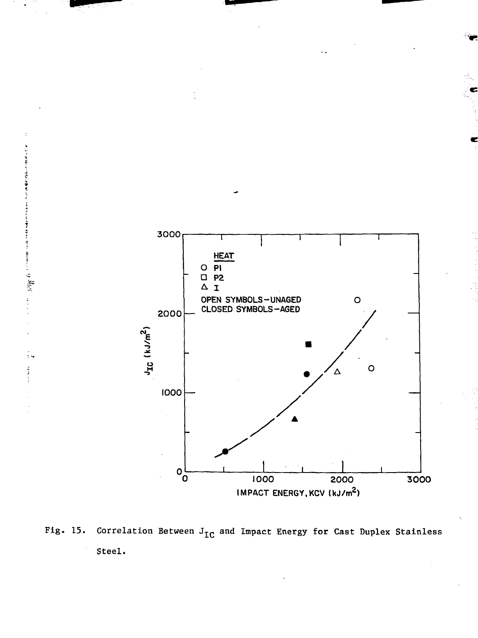

Fig. 15. Correlation Between  $J_{IC}$  and Impact Energy for Cast Duplex Stainless Steel.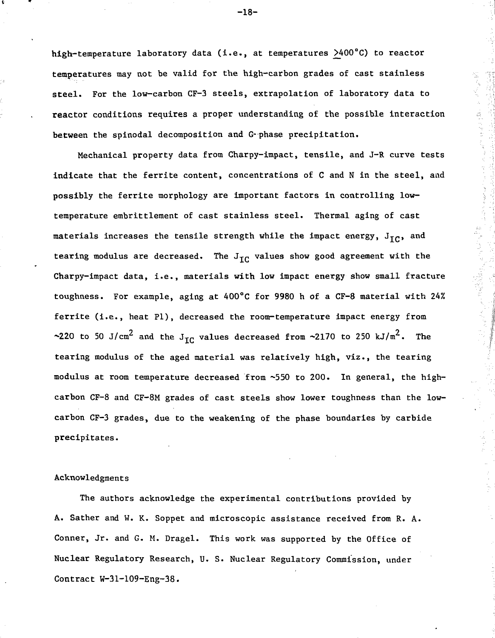high-temperature laboratory data (i.e., at temperatures >400°C) to reactor temperatures may not be valid for the high—carbon grades of cast stainless steel. For the low-carbon CF-3 steels, extrapolation of laboratory data to reactor conditions requires a proper understanding of the possible interaction between the spinodal decomposition and G-phase precipitation.

Mechanical property data from Gharpy-impact, tensile, and J-R curve tests indicate that the ferrite content, concentrations of C and N in the steel, and possibly the ferrite morphology are important factors in controlling lowtemperature embrittlement of cast stainless steel. Thermal aging of cast materials increases the tensile strength while the impact energy,  $J_{TC}$ , and tearing modulus are decreased. The  $J_{TC}$  values show good agreement with the Charpy-impact data, i.e., materials with low impact energy show small fracture toughness. For example, aging at 400°C for 9980 h of a CF-8 material with 24% ferrite (i.e., heat PI), decreased the room-temperature impact energy from ~220 to 50 J/cm<sup>2</sup> and the J<sub>TC</sub> values decreased from ~2170 to 250 kJ/m<sup>2</sup>. The tearing modulus of the aged material was relatively high, viz., the tearing modulus at room temperature decreased from ~550 to 200. In general, the highcarbon CF-8 and CF-8M grades of cast steels show lower toughness than the lowcarbon CF-3 grades, due to the weakening of the phase boundaries by carbide precipitates.

44.5.15.5.7 回旋炮翼:

### Acknowledgment s

The authors acknowledge the experimental contributions provided by A. Sather and W. K. Soppet and microscopic assistance received from R. A. Conner, Jr. and G. M. Dragel. This work was supported by the Office of Nuclear Regulatory Research, U. S. Nuclear Regulatory Commission, under Contract W-31-109-Eng-38.

-18-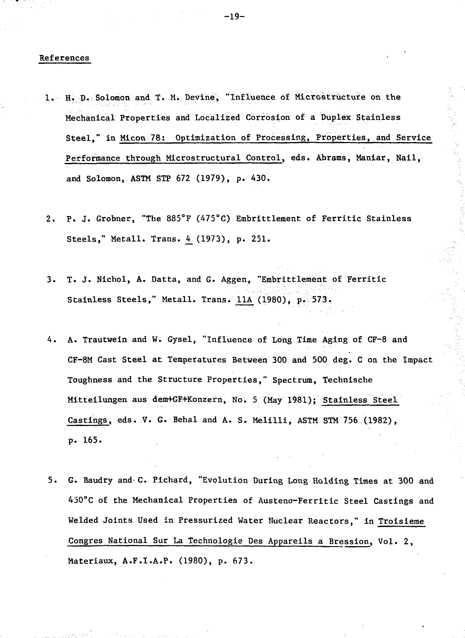#### References

- 1. H. D. Solomon and T. Mi Devine, "Influence of Microstructure on the Mechanical Properties and Localized Corrosion of a Duplex Stainless Steel," in Micon 78; Optimization of Processing, Properties, and Service Performance through Microstructural Control, eds. Abrams, Maniar, Nail, and Solomon, ASTM STP 672 (1979), p. 430.
- 2. P. J. Grobner, "The 885°F (475°C) Embrittlement of Ferritic Stainless Steels," Metall. Trans. 4\_(1973), p. 251.
- 3. T. J. Nichol, A. Datta, and G. Aggen, "Embrittlement of Ferritic Stainless Steels," Metall. Trans. 11A (1980), p. 573.
- 4. A. Trautwein and W. Gysel, "Influence of Long Time Aging of CF-8 and CF-8M Cast Steel at Temperatures Between 300 and 500 deg. C on the Impact Toughness and the Structure Properties," Spectrum, Technische Mitteilungen aus dem+GF+Konzern, No. 5 (May 1981); Stainless Steel Castings, eds. V. G. Behal and A. S. Melilli, ASTM STM 756 (1982), p. 165.
- 5. G. Baudry and-C. Pichard, "Evolution During Long Holding Times at 300 and 450°C of the Mechanical Properties of Austeno-Ferritic Steel Castings and Welded Joints Used in Pressurized Water Nuclear Reactors," in Troisieme Congres National Sur La Technologie Des Appareils a Bression, Vol. 2, Materiaux, A.F.I.A.P. (1980), p. 673.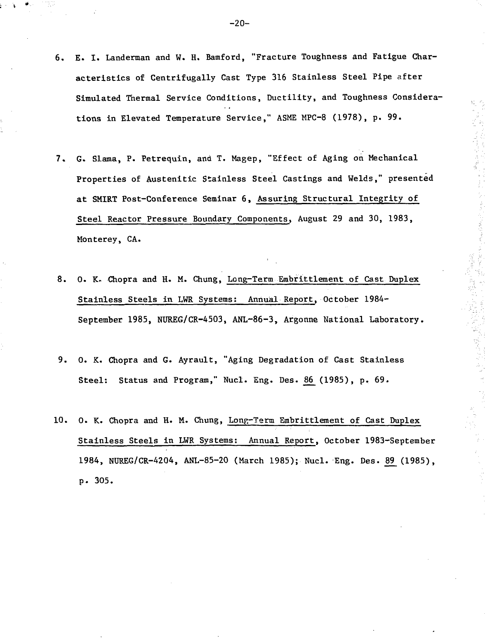- 6. E. I. Landerman and W. H. Bamford, "Fracture Toughness and Fatigue Characteristics of Centrifugally Cast Type 316 Stainless Steel Pipe after Simulated Thermal Service Conditions, Ductility, and Toughness Considerations in Elevated Temperature Service," ASME MPC-8 (1978), p. 99.
- 7. G. Slama, P. Petrequin, and T. Magep, "Effect of Aging on Mechanical Properties of Austenitic Stainless Steel Castings and Welds," presented at SMIRT Post-Conference Seminar 6, Assuring Structural Integrity of Steel Reactor Pressure Boundary Components, August 29 and 30, 1983, Monterey, CA.
- 8. 0. K- Chopra and H. M. Chung, Long-Term Embrittlement of Cast Duplex Stainless Steels in LWR Systems: Annual Report, October 1984- September 1985, NUREG/CR-4503, ANL-86-3, Argonne National Laboratory.

**不可知** 

**大学、美人** 

- 9. 0. K. Chopra and G. Ayrault, "Aging Degradation of Cast Stainless Steel: Status and Program," Nucl. Eng. Des. 86 (1985), p. 69.
- 10. 0. K. Chopra and H. M. Chung, Long-Term Embrittlement of Cast Duplex Stainless Steels in LWR Systems: Annual Report, October 1983-September 1984, NUREG/CR-4204, ANL-85-20 (March 1985); Nucl. Eng. Des. 89 (1985), p. 305.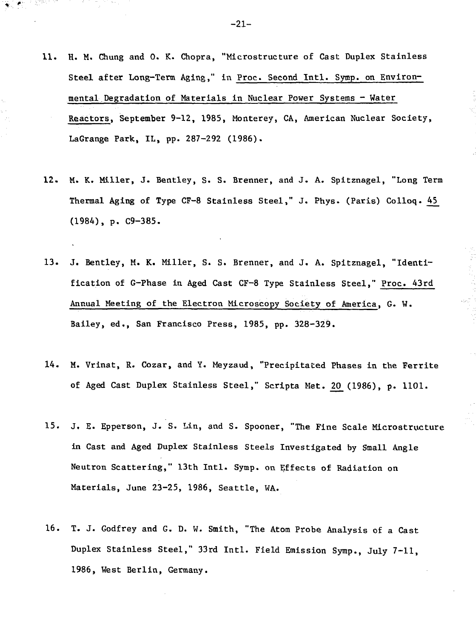- 11. H. M. Chung and 0. K. Chopra, "Microstructure of Cast Duplex Stainless Steel after Long-Term Aging," in Proc. Second Intl. Symp. on Environmental Degradation of Materials in Nuclear Power Systems - Water Reactors, September 9-12, 1985, Monterey, CA, American Nuclear Society, LaGrange Park, IL, pp. 287-292 (1986).
- 12. M. K. Miller, J. Bentley, S. S. Brenner, and J. A. Spitznagel, "Long Term Thermal Aging of Type CF-8 Stainless Steel," J. Phys. (Paris) Colloq. 45\_ (1984), p. C9-385.
- 13. J. Bentley, M. K. Miller, S. S. Brenner, and J. A. Spitznagel, "Identification of G-Phase in Aged Cast CF-8 Type Stainless Steel," Proc. 43rd Annual Meeting of the Electron Microscopy Society of America, G. W. Bailey, ed., San Francisco Press, 1985, pp. 328-329.
- 14. M. Vrinat, R. Cozar, and Y. Meyzaud, "Precipitated Phases in the Ferrite of Aged Cast Duplex Stainless Steel," Scripta Met. 20 (1986), p. 1101.
- 15. J. E. Epperson, J. S. Lin, and S. Spooner, "The Fine Scale Microstructure in Cast and Aged Duplex Stainless Steels Investigated hy Small Angle Neutron Scattering," 13th Intl. Symp. on Effects of Radiation on Materials, June 23-25, 1986, Seattle, WA.
- 16. T. J. Godfrey and G. D. W. Smith, "The Atom Probe Analysis of a Cast Duplex Stainless Steel," 33rd Intl. Field Emission Symp., July 7-11, 1986, West Berlin, Germany.